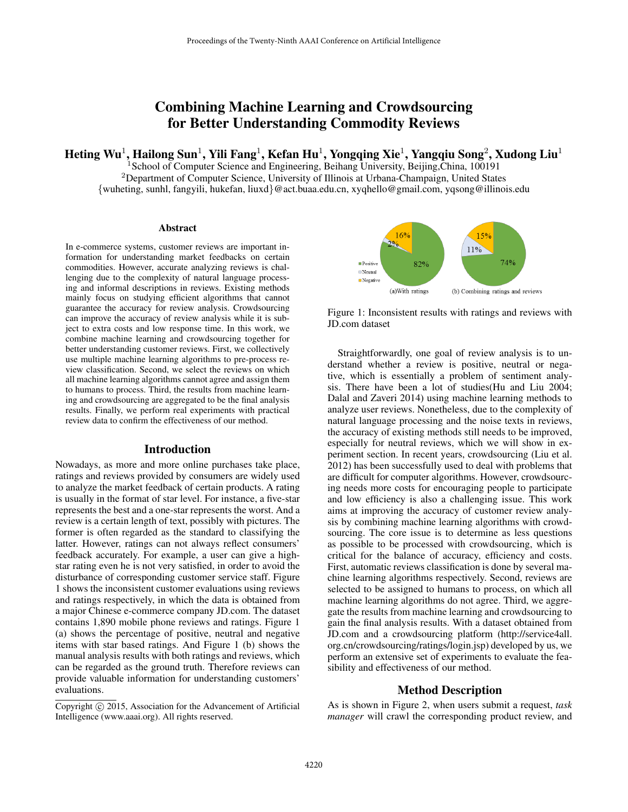# Combining Machine Learning and Crowdsourcing for Better Understanding Commodity Reviews

Heting Wu $^1$ , Hailong Sun $^1$ , Yili Fang $^1$ , Kefan Hu $^1$ , Yongqing Xie $^1$ , Yangqiu Song $^2$ , Xudong Liu $^1$ 

<sup>1</sup>School of Computer Science and Engineering, Beihang University, Beijing,China, 100191 <sup>2</sup>Department of Computer Science, University of Illinois at Urbana-Champaign, United States {wuheting, sunhl, fangyili, hukefan, liuxd}@act.buaa.edu.cn, xyqhello@gmail.com, yqsong@illinois.edu

#### Abstract

In e-commerce systems, customer reviews are important information for understanding market feedbacks on certain commodities. However, accurate analyzing reviews is challenging due to the complexity of natural language processing and informal descriptions in reviews. Existing methods mainly focus on studying efficient algorithms that cannot guarantee the accuracy for review analysis. Crowdsourcing can improve the accuracy of review analysis while it is subject to extra costs and low response time. In this work, we combine machine learning and crowdsourcing together for better understanding customer reviews. First, we collectively use multiple machine learning algorithms to pre-process review classification. Second, we select the reviews on which all machine learning algorithms cannot agree and assign them to humans to process. Third, the results from machine learning and crowdsourcing are aggregated to be the final analysis results. Finally, we perform real experiments with practical review data to confirm the effectiveness of our method.

#### Introduction

Nowadays, as more and more online purchases take place, ratings and reviews provided by consumers are widely used to analyze the market feedback of certain products. A rating is usually in the format of star level. For instance, a five-star represents the best and a one-star represents the worst. And a review is a certain length of text, possibly with pictures. The former is often regarded as the standard to classifying the latter. However, ratings can not always reflect consumers' feedback accurately. For example, a user can give a highstar rating even he is not very satisfied, in order to avoid the disturbance of corresponding customer service staff. Figure 1 shows the inconsistent customer evaluations using reviews and ratings respectively, in which the data is obtained from a major Chinese e-commerce company JD.com. The dataset contains 1,890 mobile phone reviews and ratings. Figure 1 (a) shows the percentage of positive, neutral and negative items with star based ratings. And Figure 1 (b) shows the manual analysis results with both ratings and reviews, which can be regarded as the ground truth. Therefore reviews can provide valuable information for understanding customers' evaluations.



Figure 1: Inconsistent results with ratings and reviews with JD.com dataset

Straightforwardly, one goal of review analysis is to understand whether a review is positive, neutral or negative, which is essentially a problem of sentiment analysis. There have been a lot of studies(Hu and Liu 2004; Dalal and Zaveri 2014) using machine learning methods to analyze user reviews. Nonetheless, due to the complexity of natural language processing and the noise texts in reviews, the accuracy of existing methods still needs to be improved, especially for neutral reviews, which we will show in experiment section. In recent years, crowdsourcing (Liu et al. 2012) has been successfully used to deal with problems that are difficult for computer algorithms. However, crowdsourcing needs more costs for encouraging people to participate and low efficiency is also a challenging issue. This work aims at improving the accuracy of customer review analysis by combining machine learning algorithms with crowdsourcing. The core issue is to determine as less questions as possible to be processed with crowdsourcing, which is critical for the balance of accuracy, efficiency and costs. First, automatic reviews classification is done by several machine learning algorithms respectively. Second, reviews are selected to be assigned to humans to process, on which all machine learning algorithms do not agree. Third, we aggregate the results from machine learning and crowdsourcing to gain the final analysis results. With a dataset obtained from JD.com and a crowdsourcing platform (http://service4all. org.cn/crowdsourcing/ratings/login.jsp) developed by us, we perform an extensive set of experiments to evaluate the feasibility and effectiveness of our method.

### Method Description

As is shown in Figure 2, when users submit a request, *task manager* will crawl the corresponding product review, and

Copyright  $\odot$  2015, Association for the Advancement of Artificial Intelligence (www.aaai.org). All rights reserved.